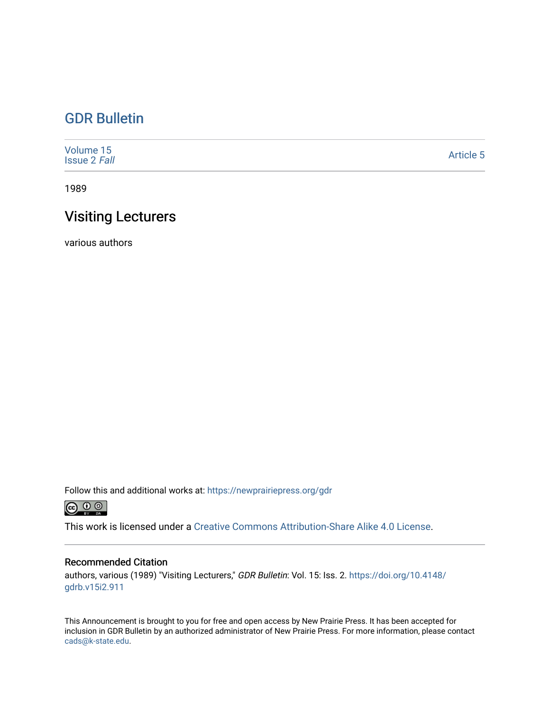## [GDR Bulletin](https://newprairiepress.org/gdr)

| Volume 15<br><b>Issue 2 Fall</b> | Article 5 |
|----------------------------------|-----------|
|----------------------------------|-----------|

1989

# Visiting Lecturers

various authors

Follow this and additional works at: [https://newprairiepress.org/gdr](https://newprairiepress.org/gdr?utm_source=newprairiepress.org%2Fgdr%2Fvol15%2Fiss2%2F5&utm_medium=PDF&utm_campaign=PDFCoverPages) 



This work is licensed under a [Creative Commons Attribution-Share Alike 4.0 License.](https://creativecommons.org/licenses/by-sa/4.0/)

### Recommended Citation

authors, various (1989) "Visiting Lecturers," GDR Bulletin: Vol. 15: Iss. 2. [https://doi.org/10.4148/](https://doi.org/10.4148/gdrb.v15i2.911) [gdrb.v15i2.911](https://doi.org/10.4148/gdrb.v15i2.911)

This Announcement is brought to you for free and open access by New Prairie Press. It has been accepted for inclusion in GDR Bulletin by an authorized administrator of New Prairie Press. For more information, please contact [cads@k-state.edu.](mailto:cads@k-state.edu)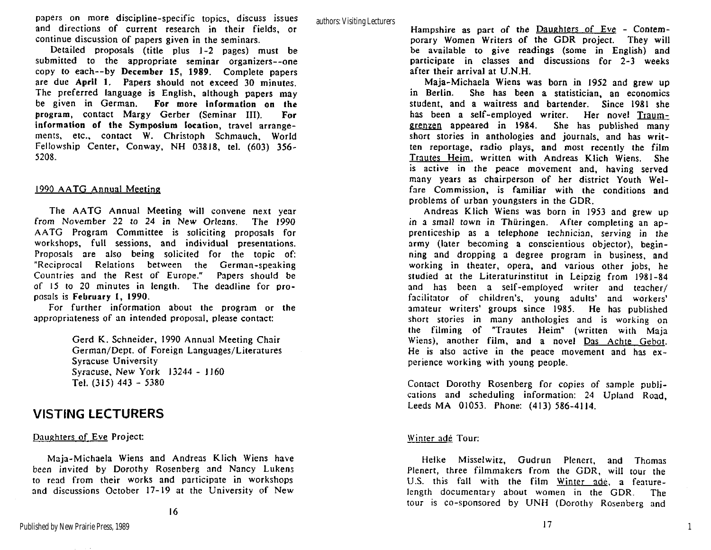papers on more discipline-specific topics, discuss issues and directions of current research in their fields, or continue discussion of papers given in the seminars.

Detailed proposals (title plus 1-2 pages) must be submitted to the appropriate seminar organizers—one copy to each—by December 15, 1989. Complete papers are due April 1. Papers should not exceed 30 minutes. The preferred language is English, although papers may be given in German. For more information on the program, contact Margy Gerber (Seminar III). For information of the Symposium location, travel arrangements, etc., contact W. Christoph Schmauch, World Fellowship Center, Conway, NH 03818, tel. (603) 356-5208.

### 1990 AATG Annual Meeting

The AATG Annual Meeting will convene next year from November 22 to 24 in New Orleans. The 1990 AATG Program Committee is soliciting proposals for workshops, full sessions, and individual presentations. Proposals are also being solicited for the topic of: "Reciprocal Relations between the German-speaking Countries and the Rest of Europe." Papers should be of 15 to 20 minutes in length. The deadline for proposals is February 1, 1990.

For further information about the program or the appropriateness of an intended proposal, please contact:

> Gerd K. Schneider, 1990 Annual Meeting Chair German/Dept. of Foreign Languages/Literatures Syracuse University Syracuse, New York 13244 - 1160 Tel. (315) 443 - 5380

 $\sim 10^7$ 

## **VISTING LECTURERS**

Daughters of Eve Project:

Maja-Michaela Wiens and Andreas Klich Wiens have been invited by Dorothy Rosenberg and Nancy Lukens to read from their works and participate in workshops and discussions October 17-19 at the University of New

Hampshire as part of the Daughters of Eve - Contemporary Women Writers of the GDR project. They will be available to give readings (some in English) and participate in classes and discussions for 2-3 weeks after their arrival at U.N.H.

Maja-Michaela Wiens was born in 1952 and grew up in Berlin. She has been a statistician, an economics student, and a waitress and bartender. Since 1981 she has been a self-employed writer. Her novel Traumgrenzen appeared in 1984. She has published many short stories in anthologies and journals, and has written reportage, radio plays, and most recently the film Trautes Heim, written with Andreas Klich Wiens. She is active in the peace movement and, having served many years as chairperson of her district Youth Welfare Commission, is familiar with the conditions and problems of urban youngsters in the GDR.

Andreas Klich Wiens was born in 1953 and grew up in a small town in Thüringen. After completing an apprenticeship as a telephone technician, serving in the army (later becoming a conscientious objector), beginning and dropping a degree program in business, and working in theater, opera, and various other jobs, he studied at the Literaturinstitut in Leipzig from 1981-84 and has been a self-employed writer and teacher/ facilitator of children's, young adults' and workers' amateur writers' groups since 1985. He has published short stories in many anthologies and is working on the filming of "Trautes Heim" (written with Maja Wiens), another film, and a novel Das Achte Gebot. He is also active in the peace movement and has experience working with young people.

Contact Dorothy Rosenberg for copies of sample publications and scheduling information: 24 Upland Road, Leeds MA 01053. Phone: (413) 586-4114.

### Winter ade Tour:

Helke Misselwitz, Gudrun Plenert, and Thomas Plenert, three filmmakers from the GDR, will tour the U.S. this fall with the film Winter ade. a featurelength documentary about women in the GDR. The tour is co-sponsored by UNH (Dorothy Rosenberg and